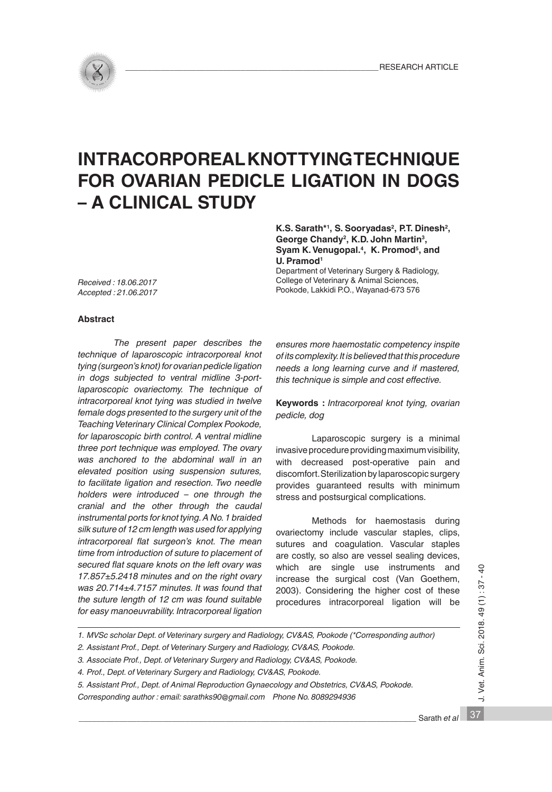

# **INTRACORPOREAL KNOT TYING TECHNIQUE FOR OVARIAN PEDICLE LIGATION IN DOGS – A CLINICAL STUDY**

K.S. Sarath<sup>\*1</sup>, S. Sooryadas<sup>2</sup>, P.T. Dinesh<sup>2</sup>, **George Chandy2, K.D. John Martin3,**  Syam K. Venugopal.<sup>4</sup>, K. Promod<sup>5</sup>, and **U. Pramod1**

Department of Veterinary Surgery & Radiology, College of Veterinary & Animal Sciences, Pookode, Lakkidi P.O., Wayanad-673 576

*Received : 18.06.2017 Accepted : 21.06.2017*

# **Abstract**

*The present paper describes the technique of laparoscopic intracorporeal knot tying (surgeon's knot) for ovarian pedicle ligation in dogs subjected to ventral midline 3-portlaparoscopic ovariectomy. The technique of intracorporeal knot tying was studied in twelve female dogs presented to the surgery unit of the Teaching Veterinary Clinical Complex Pookode, for laparoscopic birth control. A ventral midline three port technique was employed. The ovary was anchored to the abdominal wall in an elevated position using suspension sutures, to facilitate ligation and resection. Two needle holders were introduced – one through the cranial and the other through the caudal instrumental ports for knot tying. A No. 1 braided silk suture of 12 cm length was used for applying intracorporeal flat surgeon's knot. The mean time from introduction of suture to placement of secured flat square knots on the left ovary was 17.857±5.2418 minutes and on the right ovary was 20.714±4.7157 minutes. It was found that the suture length of 12 cm was found suitable for easy manoeuvrability. Intracorporeal ligation* 

*ensures more haemostatic competency inspite of its complexity. It is believed that this procedure needs a long learning curve and if mastered, this technique is simple and cost effective.*

**Keywords :** *Intracorporeal knot tying, ovarian pedicle, dog*

Laparoscopic surgery is a minimal invasive procedure providing maximum visibility, with decreased post-operative pain and discomfort. Sterilization by laparoscopic surgery provides guaranteed results with minimum stress and postsurgical complications.

Methods for haemostasis during ovariectomy include vascular staples, clips, sutures and coagulation. Vascular staples are costly, so also are vessel sealing devices, which are single use instruments and increase the surgical cost (Van Goethem, 2003). Considering the higher cost of these procedures intracorporeal ligation will be

*1. MVSc scholar Dept. of Veterinary surgery and Radiology, CV&AS, Pookode (\*Corresponding author)* 

*2. Assistant Prof., Dept. of Veterinary Surgery and Radiology, CV&AS, Pookode.* 

*3. Associate Prof., Dept. of Veterinary Surgery and Radiology, CV&AS, Pookode.* 

*4. Prof., Dept. of Veterinary Surgery and Radiology, CV&AS, Pookode.* 

*5. Assistant Prof., Dept. of Animal Reproduction Gynaecology and Obstetrics, CV&AS, Pookode.*

*Corresponding author : email: sarathks90@gmail.com Phone No. 8089294936*

37 J. Vet. Anim. Sci. 2018. 49 (1) : 37 - 40 J. Vet. Anim. Sci. 2018. 49 (1): 37

 $-40$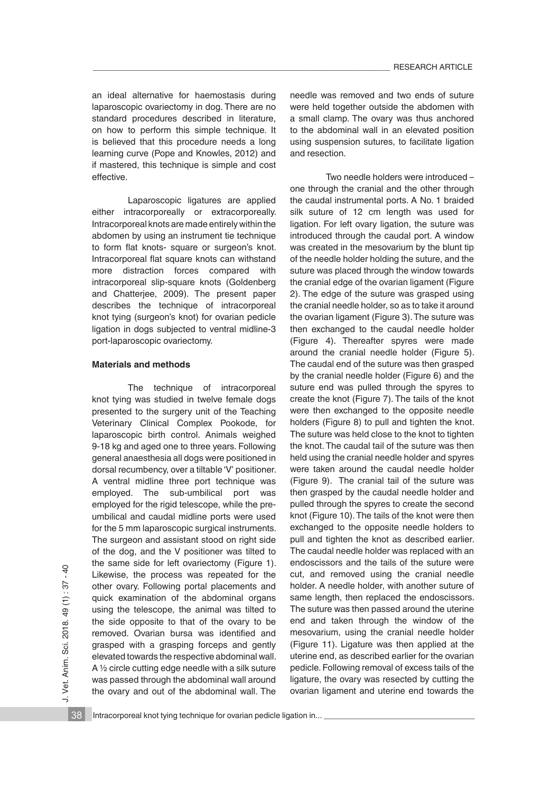an ideal alternative for haemostasis during laparoscopic ovariectomy in dog. There are no standard procedures described in literature, on how to perform this simple technique. It is believed that this procedure needs a long learning curve (Pope and Knowles, 2012) and if mastered, this technique is simple and cost effective.

Laparoscopic ligatures are applied either intracorporeally or extracorporeally. Intracorporeal knots are made entirely within the abdomen by using an instrument tie technique to form flat knots- square or surgeon's knot. Intracorporeal flat square knots can withstand more distraction forces compared with intracorporeal slip-square knots (Goldenberg and Chatterjee, 2009). The present paper describes the technique of intracorporeal knot tying (surgeon's knot) for ovarian pedicle ligation in dogs subjected to ventral midline-3 port-laparoscopic ovariectomy.

#### **Materials and methods**

 The technique of intracorporeal knot tying was studied in twelve female dogs presented to the surgery unit of the Teaching Veterinary Clinical Complex Pookode, for laparoscopic birth control. Animals weighed 9-18 kg and aged one to three years. Following general anaesthesia all dogs were positioned in dorsal recumbency, over a tiltable 'V' positioner. A ventral midline three port technique was employed. The sub-umbilical port was employed for the rigid telescope, while the preumbilical and caudal midline ports were used for the 5 mm laparoscopic surgical instruments. The surgeon and assistant stood on right side of the dog, and the V positioner was tilted to the same side for left ovariectomy (Figure 1). Likewise, the process was repeated for the other ovary. Following portal placements and quick examination of the abdominal organs using the telescope, the animal was tilted to the side opposite to that of the ovary to be removed. Ovarian bursa was identified and grasped with a grasping forceps and gently elevated towards the respective abdominal wall. A 1/2 circle cutting edge needle with a silk suture was passed through the abdominal wall around the ovary and out of the abdominal wall. The needle was removed and two ends of suture were held together outside the abdomen with a small clamp. The ovary was thus anchored to the abdominal wall in an elevated position using suspension sutures, to facilitate ligation and resection.

 Two needle holders were introduced – one through the cranial and the other through the caudal instrumental ports. A No. 1 braided silk suture of 12 cm length was used for ligation. For left ovary ligation, the suture was introduced through the caudal port. A window was created in the mesovarium by the blunt tip of the needle holder holding the suture, and the suture was placed through the window towards the cranial edge of the ovarian ligament (Figure 2). The edge of the suture was grasped using the cranial needle holder, so as to take it around the ovarian ligament (Figure 3). The suture was then exchanged to the caudal needle holder (Figure 4). Thereafter spyres were made around the cranial needle holder (Figure 5). The caudal end of the suture was then grasped by the cranial needle holder (Figure 6) and the suture end was pulled through the spyres to create the knot (Figure 7). The tails of the knot were then exchanged to the opposite needle holders (Figure 8) to pull and tighten the knot. The suture was held close to the knot to tighten the knot. The caudal tail of the suture was then held using the cranial needle holder and spyres were taken around the caudal needle holder (Figure 9). The cranial tail of the suture was then grasped by the caudal needle holder and pulled through the spyres to create the second knot (Figure 10). The tails of the knot were then exchanged to the opposite needle holders to pull and tighten the knot as described earlier. The caudal needle holder was replaced with an endoscissors and the tails of the suture were cut, and removed using the cranial needle holder. A needle holder, with another suture of same length, then replaced the endoscissors. The suture was then passed around the uterine end and taken through the window of the mesovarium, using the cranial needle holder (Figure 11). Ligature was then applied at the uterine end, as described earlier for the ovarian pedicle. Following removal of excess tails of the ligature, the ovary was resected by cutting the ovarian ligament and uterine end towards the

38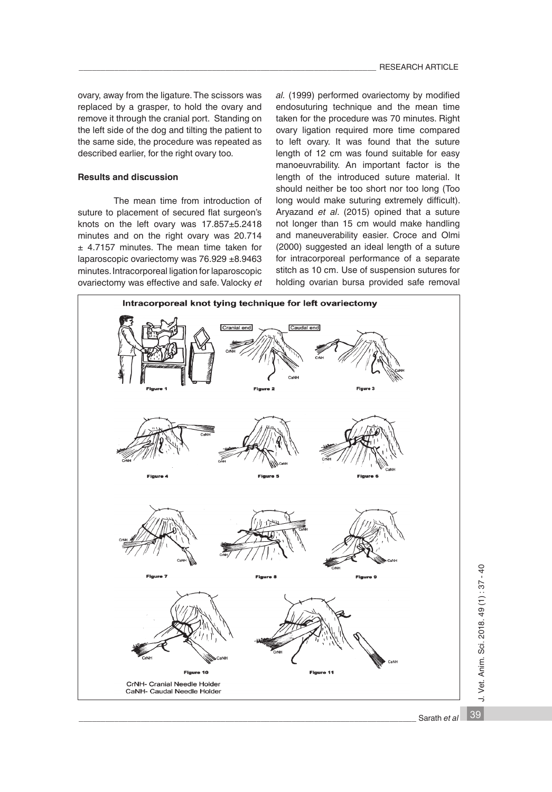ovary, away from the ligature. The scissors was replaced by a grasper, to hold the ovary and remove it through the cranial port. Standing on the left side of the dog and tilting the patient to the same side, the procedure was repeated as described earlier, for the right ovary too.

#### **Results and discussion**

 The mean time from introduction of suture to placement of secured flat surgeon's knots on the left ovary was 17.857±5.2418 minutes and on the right ovary was 20.714 ± 4.7157 minutes. The mean time taken for laparoscopic ovariectomy was 76.929 ±8.9463 minutes. Intracorporeal ligation for laparoscopic ovariectomy was effective and safe. Valocky *et*  *al.* (1999) performed ovariectomy by modified endosuturing technique and the mean time taken for the procedure was 70 minutes. Right ovary ligation required more time compared to left ovary. It was found that the suture length of 12 cm was found suitable for easy manoeuvrability. An important factor is the length of the introduced suture material. It should neither be too short nor too long (Too long would make suturing extremely difficult). Aryazand *et al*. (2015) opined that a suture not longer than 15 cm would make handling and maneuverability easier. Croce and Olmi (2000) suggested an ideal length of a suture for intracorporeal performance of a separate stitch as 10 cm. Use of suspension sutures for holding ovarian bursa provided safe removal